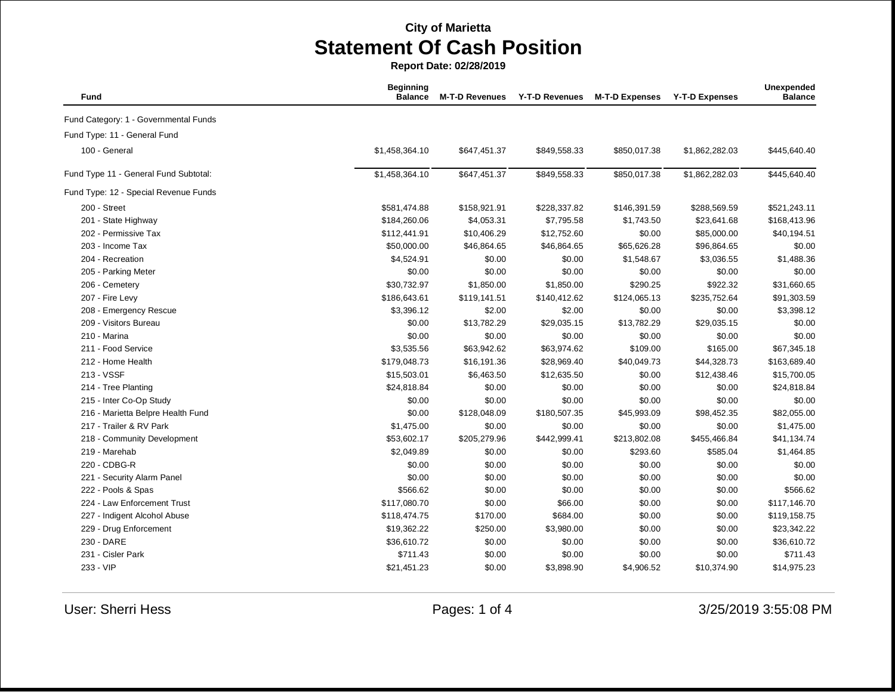**Report Date: 02/28/2019**

| Fund                                  | <b>Beginning</b><br><b>Balance</b> | <b>M-T-D Revenues</b> | <b>Y-T-D Revenues</b> | <b>M-T-D Expenses</b> | <b>Y-T-D Expenses</b> | Unexpended<br><b>Balance</b> |
|---------------------------------------|------------------------------------|-----------------------|-----------------------|-----------------------|-----------------------|------------------------------|
| Fund Category: 1 - Governmental Funds |                                    |                       |                       |                       |                       |                              |
| Fund Type: 11 - General Fund          |                                    |                       |                       |                       |                       |                              |
| 100 - General                         | \$1,458,364.10                     | \$647,451.37          | \$849,558.33          | \$850,017.38          | \$1,862,282.03        | \$445,640.40                 |
| Fund Type 11 - General Fund Subtotal: | \$1,458,364.10                     | \$647,451.37          | \$849,558.33          | \$850,017.38          | \$1,862,282.03        | \$445,640.40                 |
| Fund Type: 12 - Special Revenue Funds |                                    |                       |                       |                       |                       |                              |
| 200 - Street                          | \$581,474.88                       | \$158,921.91          | \$228,337.82          | \$146,391.59          | \$288,569.59          | \$521,243.11                 |
| 201 - State Highway                   | \$184,260.06                       | \$4,053.31            | \$7,795.58            | \$1,743.50            | \$23,641.68           | \$168,413.96                 |
| 202 - Permissive Tax                  | \$112,441.91                       | \$10,406.29           | \$12,752.60           | \$0.00                | \$85,000.00           | \$40,194.51                  |
| 203 - Income Tax                      | \$50,000.00                        | \$46,864.65           | \$46,864.65           | \$65,626.28           | \$96,864.65           | \$0.00                       |
| 204 - Recreation                      | \$4,524.91                         | \$0.00                | \$0.00                | \$1,548.67            | \$3,036.55            | \$1,488.36                   |
| 205 - Parking Meter                   | \$0.00                             | \$0.00                | \$0.00                | \$0.00                | \$0.00                | \$0.00                       |
| 206 - Cemetery                        | \$30,732.97                        | \$1,850.00            | \$1,850.00            | \$290.25              | \$922.32              | \$31,660.65                  |
| 207 - Fire Levy                       | \$186,643.61                       | \$119,141.51          | \$140,412.62          | \$124,065.13          | \$235,752.64          | \$91,303.59                  |
| 208 - Emergency Rescue                | \$3,396.12                         | \$2.00                | \$2.00                | \$0.00                | \$0.00                | \$3,398.12                   |
| 209 - Visitors Bureau                 | \$0.00                             | \$13,782.29           | \$29,035.15           | \$13,782.29           | \$29,035.15           | \$0.00                       |
| 210 - Marina                          | \$0.00                             | \$0.00                | \$0.00                | \$0.00                | \$0.00                | \$0.00                       |
| 211 - Food Service                    | \$3,535.56                         | \$63,942.62           | \$63,974.62           | \$109.00              | \$165.00              | \$67,345.18                  |
| 212 - Home Health                     | \$179,048.73                       | \$16,191.36           | \$28,969.40           | \$40,049.73           | \$44,328.73           | \$163,689.40                 |
| 213 - VSSF                            | \$15,503.01                        | \$6,463.50            | \$12,635.50           | \$0.00                | \$12,438.46           | \$15,700.05                  |
| 214 - Tree Planting                   | \$24,818.84                        | \$0.00                | \$0.00                | \$0.00                | \$0.00                | \$24,818.84                  |
| 215 - Inter Co-Op Study               | \$0.00                             | \$0.00                | \$0.00                | \$0.00                | \$0.00                | \$0.00                       |
| 216 - Marietta Belpre Health Fund     | \$0.00                             | \$128,048.09          | \$180,507.35          | \$45,993.09           | \$98,452.35           | \$82,055.00                  |
| 217 - Trailer & RV Park               | \$1,475.00                         | \$0.00                | \$0.00                | \$0.00                | \$0.00                | \$1,475.00                   |
| 218 - Community Development           | \$53,602.17                        | \$205,279.96          | \$442,999.41          | \$213,802.08          | \$455,466.84          | \$41,134.74                  |
| 219 - Marehab                         | \$2,049.89                         | \$0.00                | \$0.00                | \$293.60              | \$585.04              | \$1,464.85                   |
| 220 - CDBG-R                          | \$0.00                             | \$0.00                | \$0.00                | \$0.00                | \$0.00                | \$0.00                       |
| 221 - Security Alarm Panel            | \$0.00                             | \$0.00                | \$0.00                | \$0.00                | \$0.00                | \$0.00                       |
| 222 - Pools & Spas                    | \$566.62                           | \$0.00                | \$0.00                | \$0.00                | \$0.00                | \$566.62                     |
| 224 - Law Enforcement Trust           | \$117,080.70                       | \$0.00                | \$66.00               | \$0.00                | \$0.00                | \$117,146.70                 |
| 227 - Indigent Alcohol Abuse          | \$118,474.75                       | \$170.00              | \$684.00              | \$0.00                | \$0.00                | \$119,158.75                 |
| 229 - Drug Enforcement                | \$19,362.22                        | \$250.00              | \$3,980.00            | \$0.00                | \$0.00                | \$23,342.22                  |
| 230 - DARE                            | \$36,610.72                        | \$0.00                | \$0.00                | \$0.00                | \$0.00                | \$36,610.72                  |
| 231 - Cisler Park                     | \$711.43                           | \$0.00                | \$0.00                | \$0.00                | \$0.00                | \$711.43                     |
| 233 - VIP                             | \$21,451.23                        | \$0.00                | \$3,898.90            | \$4,906.52            | \$10,374.90           | \$14,975.23                  |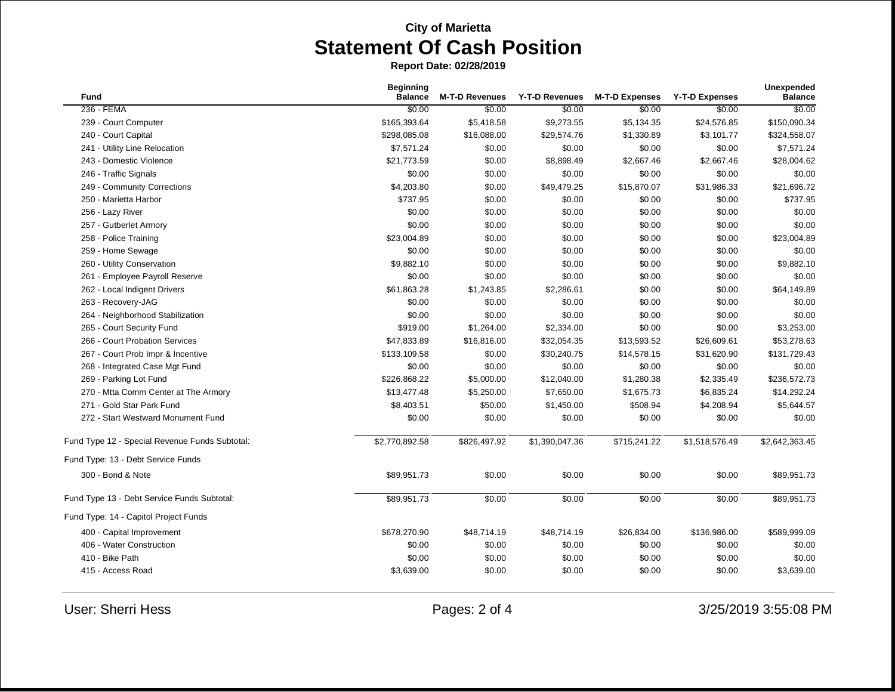**Report Date: 02/28/2019**

| <b>Fund</b>                                    | <b>Beginning</b><br><b>Balance</b> | <b>M-T-D Revenues</b> | <b>Y-T-D Revenues</b> | <b>M-T-D Expenses</b> | <b>Y-T-D Expenses</b> | <b>Unexpended</b><br><b>Balance</b> |
|------------------------------------------------|------------------------------------|-----------------------|-----------------------|-----------------------|-----------------------|-------------------------------------|
| 236 - FEMA                                     | \$0.00                             | \$0.00                | \$0.00                | \$0.00                | \$0.00                | \$0.00                              |
| 239 - Court Computer                           | \$165,393.64                       | \$5,418.58            | \$9,273.55            | \$5,134.35            | \$24,576.85           | \$150,090.34                        |
| 240 - Court Capital                            | \$298,085.08                       | \$16,088.00           | \$29,574.76           | \$1,330.89            | \$3,101.77            | \$324,558.07                        |
| 241 - Utility Line Relocation                  | \$7,571.24                         | \$0.00                | \$0.00                | \$0.00                | \$0.00                | \$7,571.24                          |
| 243 - Domestic Violence                        | \$21,773.59                        | \$0.00                | \$8,898.49            | \$2,667.46            | \$2,667.46            | \$28,004.62                         |
| 246 - Traffic Signals                          | \$0.00                             | \$0.00                | \$0.00                | \$0.00                | \$0.00                | \$0.00                              |
| 249 - Community Corrections                    | \$4,203.80                         | \$0.00                | \$49,479.25           | \$15,870.07           | \$31,986.33           | \$21,696.72                         |
| 250 - Marietta Harbor                          | \$737.95                           | \$0.00                | \$0.00                | \$0.00                | \$0.00                | \$737.95                            |
| 256 - Lazy River                               | \$0.00                             | \$0.00                | \$0.00                | \$0.00                | \$0.00                | \$0.00                              |
| 257 - Gutberlet Armory                         | \$0.00                             | \$0.00                | \$0.00                | \$0.00                | \$0.00                | \$0.00                              |
| 258 - Police Training                          | \$23,004.89                        | \$0.00                | \$0.00                | \$0.00                | \$0.00                | \$23,004.89                         |
| 259 - Home Sewage                              | \$0.00                             | \$0.00                | \$0.00                | \$0.00                | \$0.00                | \$0.00                              |
| 260 - Utility Conservation                     | \$9,882.10                         | \$0.00                | \$0.00                | \$0.00                | \$0.00                | \$9,882.10                          |
| 261 - Employee Payroll Reserve                 | \$0.00                             | \$0.00                | \$0.00                | \$0.00                | \$0.00                | \$0.00                              |
| 262 - Local Indigent Drivers                   | \$61,863.28                        | \$1,243.85            | \$2,286.61            | \$0.00                | \$0.00                | \$64,149.89                         |
| 263 - Recovery-JAG                             | \$0.00                             | \$0.00                | \$0.00                | \$0.00                | \$0.00                | \$0.00                              |
| 264 - Neighborhood Stabilization               | \$0.00                             | \$0.00                | \$0.00                | \$0.00                | \$0.00                | \$0.00                              |
| 265 - Court Security Fund                      | \$919.00                           | \$1,264.00            | \$2,334.00            | \$0.00                | \$0.00                | \$3,253.00                          |
| 266 - Court Probation Services                 | \$47,833.89                        | \$16,816.00           | \$32,054.35           | \$13,593.52           | \$26,609.61           | \$53,278.63                         |
| 267 - Court Prob Impr & Incentive              | \$133,109.58                       | \$0.00                | \$30,240.75           | \$14,578.15           | \$31,620.90           | \$131,729.43                        |
| 268 - Integrated Case Mgt Fund                 | \$0.00                             | \$0.00                | \$0.00                | \$0.00                | \$0.00                | \$0.00                              |
| 269 - Parking Lot Fund                         | \$226,868.22                       | \$5,000.00            | \$12,040.00           | \$1,280.38            | \$2,335.49            | \$236,572.73                        |
| 270 - Mtta Comm Center at The Armory           | \$13,477.48                        | \$5,250.00            | \$7,650.00            | \$1,675.73            | \$6,835.24            | \$14,292.24                         |
| 271 - Gold Star Park Fund                      | \$8,403.51                         | \$50.00               | \$1,450.00            | \$508.94              | \$4,208.94            | \$5,644.57                          |
| 272 - Start Westward Monument Fund             | \$0.00                             | \$0.00                | \$0.00                | \$0.00                | \$0.00                | \$0.00                              |
| Fund Type 12 - Special Revenue Funds Subtotal: | \$2,770,892.58                     | \$826,497.92          | \$1,390,047.36        | \$715,241.22          | \$1,518,576.49        | \$2,642,363.45                      |
| Fund Type: 13 - Debt Service Funds             |                                    |                       |                       |                       |                       |                                     |
| 300 - Bond & Note                              | \$89,951.73                        | \$0.00                | \$0.00                | \$0.00                | \$0.00                | \$89,951.73                         |
| Fund Type 13 - Debt Service Funds Subtotal:    | \$89,951.73                        | \$0.00                | \$0.00                | \$0.00                | \$0.00                | \$89,951.73                         |
| Fund Type: 14 - Capitol Project Funds          |                                    |                       |                       |                       |                       |                                     |
| 400 - Capital Improvement                      | \$678,270.90                       | \$48,714.19           | \$48,714.19           | \$26,834.00           | \$136,986.00          | \$589,999.09                        |
| 406 - Water Construction                       | \$0.00                             | \$0.00                | \$0.00                | \$0.00                | \$0.00                | \$0.00                              |
| 410 - Bike Path                                | \$0.00                             | \$0.00                | \$0.00                | \$0.00                | \$0.00                | \$0.00                              |
| 415 - Access Road                              | \$3,639.00                         | \$0.00                | \$0.00                | \$0.00                | \$0.00                | \$3,639.00                          |

User: Sherri Hess **Pages: 2 of 4** 3/25/2019 3:55:08 PM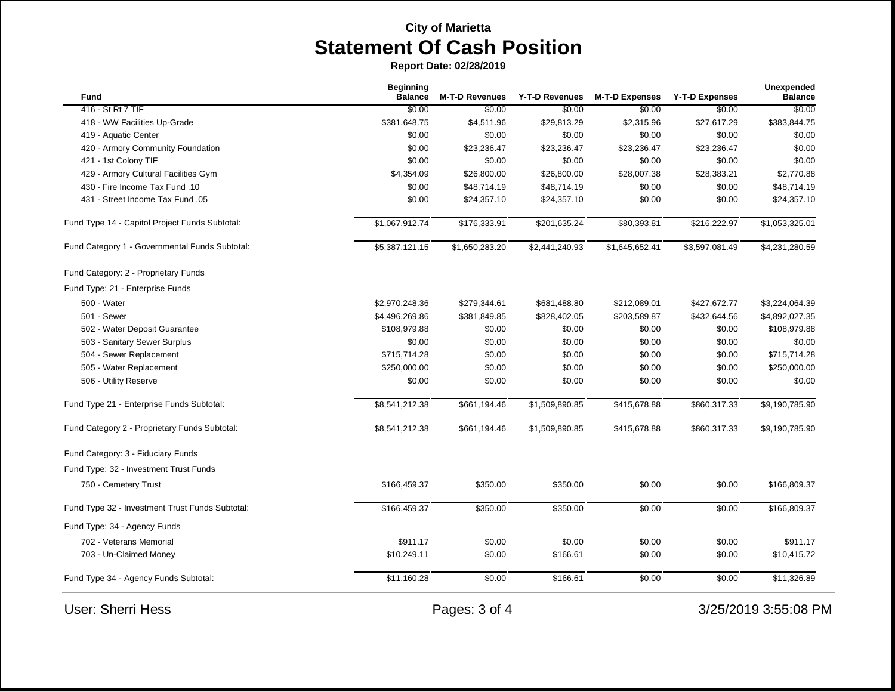**Report Date: 02/28/2019**

| Fund                                            | <b>Beginning</b><br><b>Balance</b> | <b>M-T-D Revenues</b> | Y-T-D Revenues | <b>M-T-D Expenses</b> | <b>Y-T-D Expenses</b> | <b>Unexpended</b><br><b>Balance</b> |
|-------------------------------------------------|------------------------------------|-----------------------|----------------|-----------------------|-----------------------|-------------------------------------|
| 416 - St Rt 7 TIF                               | \$0.00                             | \$0.00                | \$0.00         | \$0.00                | \$0.00                | \$0.00                              |
| 418 - WW Facilities Up-Grade                    | \$381,648.75                       | \$4,511.96            | \$29,813.29    | \$2,315.96            | \$27,617.29           | \$383,844.75                        |
| 419 - Aquatic Center                            | \$0.00                             | \$0.00                | \$0.00         | \$0.00                | \$0.00                | \$0.00                              |
| 420 - Armory Community Foundation               | \$0.00                             | \$23,236.47           | \$23,236.47    | \$23,236.47           | \$23,236.47           | \$0.00                              |
| 421 - 1st Colony TIF                            | \$0.00                             | \$0.00                | \$0.00         | \$0.00                | \$0.00                | \$0.00                              |
| 429 - Armory Cultural Facilities Gym            | \$4,354.09                         | \$26,800.00           | \$26,800.00    | \$28,007.38           | \$28,383.21           | \$2,770.88                          |
| 430 - Fire Income Tax Fund .10                  | \$0.00                             | \$48,714.19           | \$48,714.19    | \$0.00                | \$0.00                | \$48,714.19                         |
| 431 - Street Income Tax Fund .05                | \$0.00                             | \$24,357.10           | \$24,357.10    | \$0.00                | \$0.00                | \$24,357.10                         |
| Fund Type 14 - Capitol Project Funds Subtotal:  | \$1,067,912.74                     | \$176,333.91          | \$201,635.24   | \$80,393.81           | \$216,222.97          | \$1,053,325.01                      |
| Fund Category 1 - Governmental Funds Subtotal:  | \$5,387,121.15                     | \$1,650,283.20        | \$2,441,240.93 | \$1,645,652.41        | \$3,597,081.49        | \$4,231,280.59                      |
| Fund Category: 2 - Proprietary Funds            |                                    |                       |                |                       |                       |                                     |
| Fund Type: 21 - Enterprise Funds                |                                    |                       |                |                       |                       |                                     |
| 500 - Water                                     | \$2,970,248.36                     | \$279,344.61          | \$681,488.80   | \$212,089.01          | \$427,672.77          | \$3,224,064.39                      |
| 501 - Sewer                                     | \$4,496,269.86                     | \$381,849.85          | \$828,402.05   | \$203,589.87          | \$432,644.56          | \$4,892,027.35                      |
| 502 - Water Deposit Guarantee                   | \$108,979.88                       | \$0.00                | \$0.00         | \$0.00                | \$0.00                | \$108,979.88                        |
| 503 - Sanitary Sewer Surplus                    | \$0.00                             | \$0.00                | \$0.00         | \$0.00                | \$0.00                | \$0.00                              |
| 504 - Sewer Replacement                         | \$715,714.28                       | \$0.00                | \$0.00         | \$0.00                | \$0.00                | \$715,714.28                        |
| 505 - Water Replacement                         | \$250,000.00                       | \$0.00                | \$0.00         | \$0.00                | \$0.00                | \$250,000.00                        |
| 506 - Utility Reserve                           | \$0.00                             | \$0.00                | \$0.00         | \$0.00                | \$0.00                | \$0.00                              |
| Fund Type 21 - Enterprise Funds Subtotal:       | \$8,541,212.38                     | \$661,194.46          | \$1,509,890.85 | \$415,678.88          | \$860,317.33          | \$9,190,785.90                      |
| Fund Category 2 - Proprietary Funds Subtotal:   | \$8,541,212.38                     | \$661,194.46          | \$1,509,890.85 | \$415,678.88          | \$860,317.33          | \$9,190,785.90                      |
| Fund Category: 3 - Fiduciary Funds              |                                    |                       |                |                       |                       |                                     |
| Fund Type: 32 - Investment Trust Funds          |                                    |                       |                |                       |                       |                                     |
| 750 - Cemetery Trust                            | \$166,459.37                       | \$350.00              | \$350.00       | \$0.00                | \$0.00                | \$166,809.37                        |
| Fund Type 32 - Investment Trust Funds Subtotal: | \$166,459.37                       | \$350.00              | \$350.00       | \$0.00                | \$0.00                | \$166,809.37                        |
| Fund Type: 34 - Agency Funds                    |                                    |                       |                |                       |                       |                                     |
| 702 - Veterans Memorial                         | \$911.17                           | \$0.00                | \$0.00         | \$0.00                | \$0.00                | \$911.17                            |
| 703 - Un-Claimed Money                          | \$10,249.11                        | \$0.00                | \$166.61       | \$0.00                | \$0.00                | \$10,415.72                         |
| Fund Type 34 - Agency Funds Subtotal:           | \$11,160.28                        | \$0.00                | \$166.61       | \$0.00                | \$0.00                | \$11,326.89                         |
| <b>User: Sherri Hess</b>                        |                                    | Pages: 3 of 4         |                |                       |                       | 3/25/2019 3:55:08 PM                |